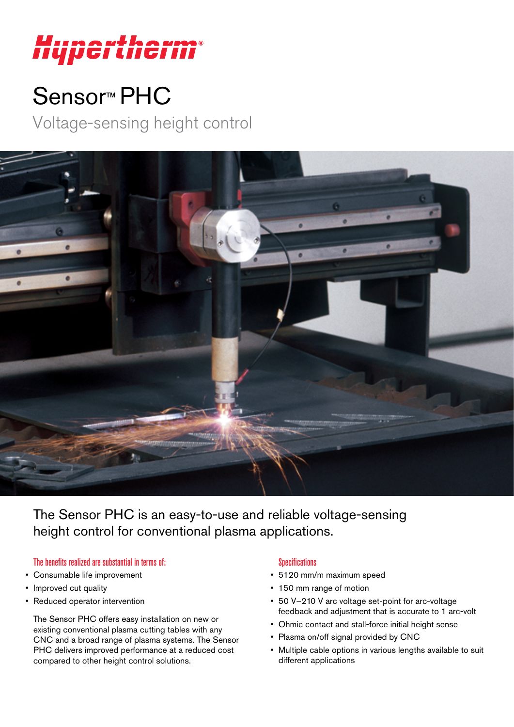

# Sensor<sup>™</sup> PHC

Voltage-sensing height control



The Sensor PHC is an easy-to-use and reliable voltage-sensing height control for conventional plasma applications.

## The benefits realized are substantial in terms of:

- Consumable life improvement
- Improved cut quality
- Reduced operator intervention

The Sensor PHC offers easy installation on new or existing conventional plasma cutting tables with any CNC and a broad range of plasma systems. The Sensor PHC delivers improved performance at a reduced cost compared to other height control solutions.

### **Specifications**

- 5120 mm/m maximum speed
- 150 mm range of motion
- 50 V–210 V arc voltage set-point for arc-voltage feedback and adjustment that is accurate to 1 arc-volt
- Ohmic contact and stall-force initial height sense
- Plasma on/off signal provided by CNC
- Multiple cable options in various lengths available to suit different applications